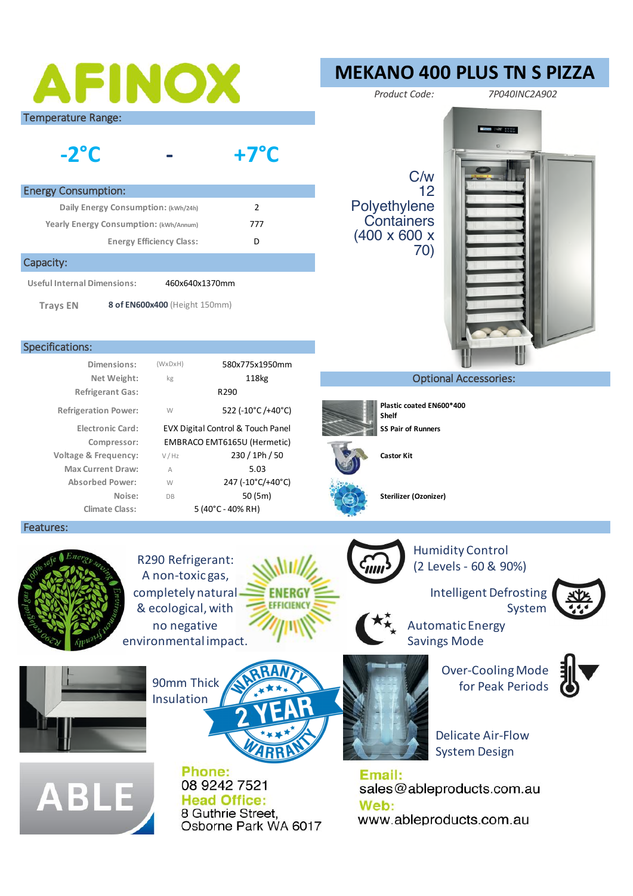# AFINOX

Temperature Range:

#### **- -2°C +7°C**

| <b>Energy Consumption:</b>                    |   |  |  |
|-----------------------------------------------|---|--|--|
| Daily Energy Consumption: (kWh/24h)           | 7 |  |  |
| Yearly Energy Consumption: (kWh/Annum)<br>777 |   |  |  |
| <b>Energy Efficiency Class:</b>               |   |  |  |
|                                               |   |  |  |

#### Capacity:

**Useful Internal Dimensions:** 460x640x1370mm

**Trays EN 8 of EN600x400** (Height 150mm)

#### Specifications:

|                     | 580x775x1950mm                    | (WxDxH)     | Dimensions:                 |
|---------------------|-----------------------------------|-------------|-----------------------------|
|                     | 118 <sub>kg</sub>                 | kg          | Net Weight:                 |
|                     | R <sub>290</sub>                  |             | <b>Refrigerant Gas:</b>     |
| Plastic co<br>Shelf | 522 (-10°C /+40°C)                | W           | <b>Refrigeration Power:</b> |
| SS Pair of          | EVX Digital Control & Touch Panel |             | <b>Electronic Card:</b>     |
|                     | EMBRACO EMT6165U (Hermetic)       |             | Compressor:                 |
| <b>Castor Kit</b>   | 230 / 1Ph / 50                    | V / Hz      | Voltage & Frequency:        |
|                     | 5.03                              | $\mathbb A$ | <b>Max Current Draw:</b>    |
|                     | 247 (-10°C/+40°C)                 | W           | <b>Absorbed Power:</b>      |
| <b>Sterilizer</b>   | 50(5m)                            | <b>DB</b>   | Noise:                      |
|                     | $5(40^{\circ}C - 40\%$ RH)        |             | <b>Climate Class:</b>       |
|                     |                                   |             |                             |

#### Features:



**ABLE** 

R290 Refrigerant: A non-toxic gas, completely natural & ecological, with no negative environmental impact.

Insulation

Phone:

08 9242 7521

**Head Office:** 

8 Guthrie Street.

Osborne Park WA 6017



**EFFICIENCY** 

**Sterilizer (Ozonizer)** 

**ES Pair of Runners** 

**Refrigeration Power:** 522 (-10°C /+40°C) **Plastic coated EN600\*400** 

C/w 12

70)

Polyethylene **Containers** (400 x 600 x

Humidity Control (2 Levels - 60 & 90%)

> Intelligent Defrosting System



Automatic Energy Savings Mode

Over-Cooling Mode 90mm Thick  $\left(\frac{1}{2}, \frac{1}{2}, \frac{1}{2}\right)$  for Peak Periods



Delicate Air-Flow System Design

Email: sales@ableproducts.com.au Web: www.ableproducts.com.au



## *Product Code: 7P040INC2A902*

**Common College In College** 

**MEKANO 400 PLUS TN S PIZZA**